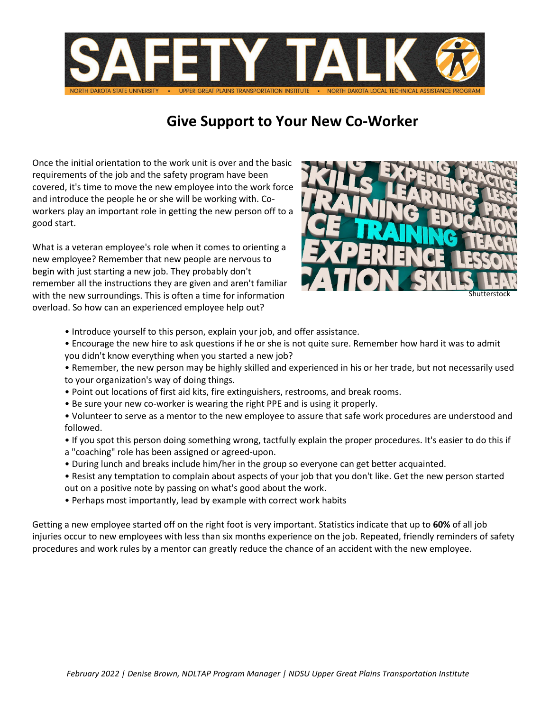

## **Give Support to Your New Co-Worker**

Once the initial orientation to the work unit is over and the basic requirements of the job and the safety program have been covered, it's time to move the new employee into the work force and introduce the people he or she will be working with. Coworkers play an important role in getting the new person off to a good start.

What is a veteran employee's role when it comes to orienting a new employee? Remember that new people are nervous to begin with just starting a new job. They probably don't remember all the instructions they are given and aren't familiar with the new surroundings. This is often a time for information overload. So how can an experienced employee help out?



- Introduce yourself to this person, explain your job, and offer assistance.
- Encourage the new hire to ask questions if he or she is not quite sure. Remember how hard it was to admit you didn't know everything when you started a new job?
- Remember, the new person may be highly skilled and experienced in his or her trade, but not necessarily used to your organization's way of doing things.
- Point out locations of first aid kits, fire extinguishers, restrooms, and break rooms.
- Be sure your new co-worker is wearing the right PPE and is using it properly.
- Volunteer to serve as a mentor to the new employee to assure that safe work procedures are understood and followed.
- If you spot this person doing something wrong, tactfully explain the proper procedures. It's easier to do this if
- a "coaching" role has been assigned or agreed-upon.
- During lunch and breaks include him/her in the group so everyone can get better acquainted.
- Resist any temptation to complain about aspects of your job that you don't like. Get the new person started out on a positive note by passing on what's good about the work.
- Perhaps most importantly, lead by example with correct work habits

Getting a new employee started off on the right foot is very important. Statistics indicate that up to **60%** of all job injuries occur to new employees with less than six months experience on the job. Repeated, friendly reminders of safety procedures and work rules by a mentor can greatly reduce the chance of an accident with the new employee.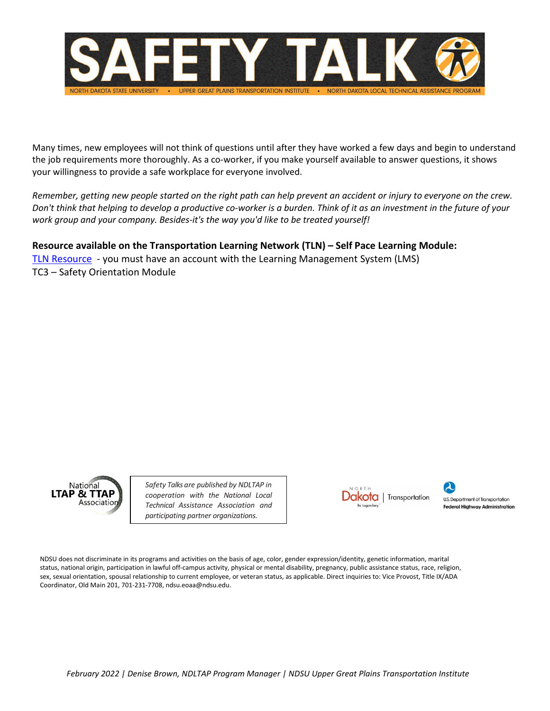

Many times, new employees will not think of questions until after they have worked a few days and begin to understand the job requirements more thoroughly. As a co-worker, if you make yourself available to answer questions, it shows your willingness to provide a safe workplace for everyone involved.

*Remember, getting new people started on the right path can help prevent an accident or injury to everyone on the crew. Don't think that helping to develop a productive co-worker is a burden. Think of it as an investment in the future of your work group and your company. Besides-it's the way you'd like to be treated yourself!*

## **Resource available on the Transportation Learning Network (TLN) – Self Pace Learning Module:**

[TLN Resource](https://tln.learnflex.net/users/index.aspx) - you must have an account with the Learning Management System (LMS) TC3 – Safety Orientation Module



*Safety Talks are published by NDLTAP in cooperation with the National Local Technical Assistance Association and participating partner organizations.*



U.S. Department of Transportation **Federal Highway Administration** 

NDSU does not discriminate in its programs and activities on the basis of age, color, gender expression/identity, genetic information, marital status, national origin, participation in lawful off-campus activity, physical or mental disability, pregnancy, public assistance status, race, religion, sex, sexual orientation, spousal relationship to current employee, or veteran status, as applicable. Direct inquiries to: Vice Provost, Title IX/ADA Coordinator, Old Main 201, 701-231-7708, ndsu.eoaa@ndsu.edu.